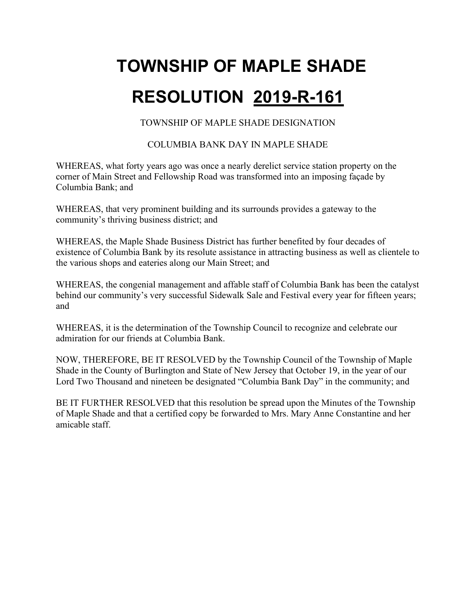TOWNSHIP OF MAPLE SHADE DESIGNATION

#### COLUMBIA BANK DAY IN MAPLE SHADE

WHEREAS, what forty years ago was once a nearly derelict service station property on the corner of Main Street and Fellowship Road was transformed into an imposing façade by Columbia Bank; and

WHEREAS, that very prominent building and its surrounds provides a gateway to the community's thriving business district; and

WHEREAS, the Maple Shade Business District has further benefited by four decades of existence of Columbia Bank by its resolute assistance in attracting business as well as clientele to the various shops and eateries along our Main Street; and

WHEREAS, the congenial management and affable staff of Columbia Bank has been the catalyst behind our community's very successful Sidewalk Sale and Festival every year for fifteen years; and

WHEREAS, it is the determination of the Township Council to recognize and celebrate our admiration for our friends at Columbia Bank.

NOW, THEREFORE, BE IT RESOLVED by the Township Council of the Township of Maple Shade in the County of Burlington and State of New Jersey that October 19, in the year of our Lord Two Thousand and nineteen be designated "Columbia Bank Day" in the community; and

BE IT FURTHER RESOLVED that this resolution be spread upon the Minutes of the Township of Maple Shade and that a certified copy be forwarded to Mrs. Mary Anne Constantine and her amicable staff.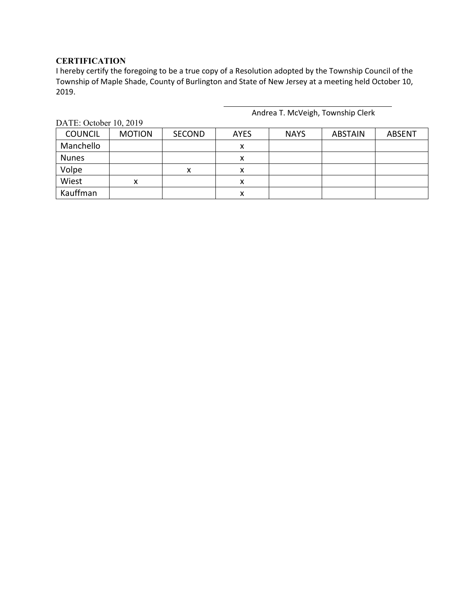#### **CERTIFICATION**

I hereby certify the foregoing to be a true copy of a Resolution adopted by the Township Council of the Township of Maple Shade, County of Burlington and State of New Jersey at a meeting held October 10, 2019.

| DATE: October 10, 2019 |               |               |             |             |         |               |
|------------------------|---------------|---------------|-------------|-------------|---------|---------------|
| <b>COUNCIL</b>         | <b>MOTION</b> | <b>SECOND</b> | <b>AYES</b> | <b>NAYS</b> | ABSTAIN | <b>ABSENT</b> |
| Manchello              |               |               | x           |             |         |               |
| <b>Nunes</b>           |               |               |             |             |         |               |
| Volpe                  |               | х             | ^           |             |         |               |
| Wiest                  | х             |               | x           |             |         |               |
| Kauffman               |               |               | ́           |             |         |               |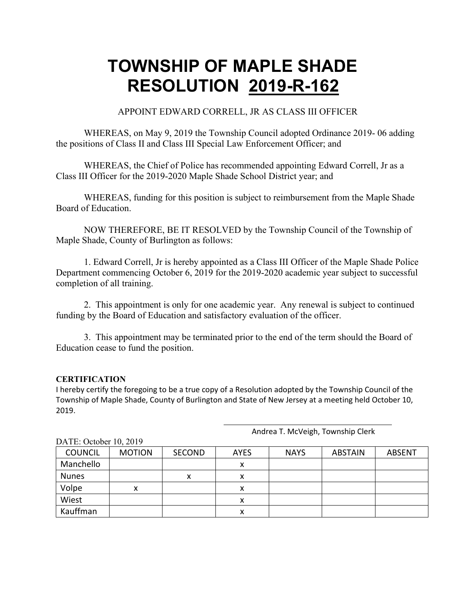APPOINT EDWARD CORRELL, JR AS CLASS III OFFICER

WHEREAS, on May 9, 2019 the Township Council adopted Ordinance 2019- 06 adding the positions of Class II and Class III Special Law Enforcement Officer; and

WHEREAS, the Chief of Police has recommended appointing Edward Correll, Jr as a Class III Officer for the 2019-2020 Maple Shade School District year; and

WHEREAS, funding for this position is subject to reimbursement from the Maple Shade Board of Education.

NOW THEREFORE, BE IT RESOLVED by the Township Council of the Township of Maple Shade, County of Burlington as follows:

1. Edward Correll, Jr is hereby appointed as a Class III Officer of the Maple Shade Police Department commencing October 6, 2019 for the 2019-2020 academic year subject to successful completion of all training.

2. This appointment is only for one academic year. Any renewal is subject to continued funding by the Board of Education and satisfactory evaluation of the officer.

3. This appointment may be terminated prior to the end of the term should the Board of Education cease to fund the position.

#### **CERTIFICATION**

I hereby certify the foregoing to be a true copy of a Resolution adopted by the Township Council of the Township of Maple Shade, County of Burlington and State of New Jersey at a meeting held October 10, 2019.

COUNCIL | MOTION | SECOND | AYES | NAYS | ABSTAIN | ABSENT Manchello x Nunes x x Volpe  $\vert x \vert$  x  $\vert x \vert$  x Wiest x Kauffman x

Andrea T. McVeigh, Township Clerk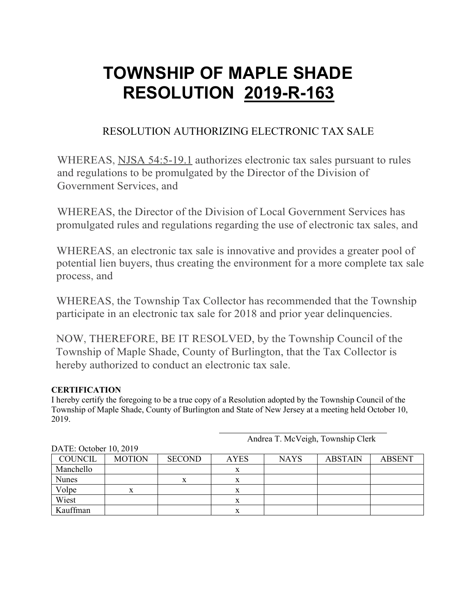### RESOLUTION AUTHORIZING ELECTRONIC TAX SALE

WHEREAS, NJSA 54:5-19.1 authorizes electronic tax sales pursuant to rules and regulations to be promulgated by the Director of the Division of Government Services, and

WHEREAS, the Director of the Division of Local Government Services has promulgated rules and regulations regarding the use of electronic tax sales, and

WHEREAS, an electronic tax sale is innovative and provides a greater pool of potential lien buyers, thus creating the environment for a more complete tax sale process, and

WHEREAS, the Township Tax Collector has recommended that the Township participate in an electronic tax sale for 2018 and prior year delinquencies.

NOW, THEREFORE, BE IT RESOLVED, by the Township Council of the Township of Maple Shade, County of Burlington, that the Tax Collector is hereby authorized to conduct an electronic tax sale.

#### **CERTIFICATION**

I hereby certify the foregoing to be a true copy of a Resolution adopted by the Township Council of the Township of Maple Shade, County of Burlington and State of New Jersey at a meeting held October 10, 2019.

| DATE: October 10, 2019 |               |               |             | $\overline{\phantom{a}}$ |                |               |
|------------------------|---------------|---------------|-------------|--------------------------|----------------|---------------|
| COUNCIL                | <b>MOTION</b> | <b>SECOND</b> | <b>AYES</b> | <b>NAYS</b>              | <b>ABSTAIN</b> | <b>ABSENT</b> |
| Manchello              |               |               | x           |                          |                |               |
| <b>Nunes</b>           |               | $\mathbf v$   |             |                          |                |               |
| Volpe                  |               |               | x           |                          |                |               |
| Wiest                  |               |               | x           |                          |                |               |
| Kauffman               |               |               | x           |                          |                |               |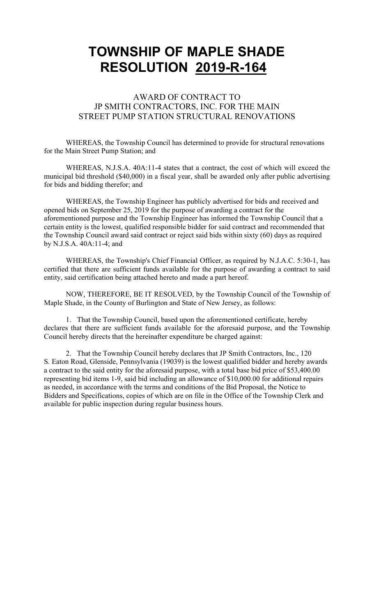### AWARD OF CONTRACT TO JP SMITH CONTRACTORS, INC. FOR THE MAIN STREET PUMP STATION STRUCTURAL RENOVATIONS

WHEREAS, the Township Council has determined to provide for structural renovations for the Main Street Pump Station; and

WHEREAS, N.J.S.A. 40A:11-4 states that a contract, the cost of which will exceed the municipal bid threshold (\$40,000) in a fiscal year, shall be awarded only after public advertising for bids and bidding therefor; and

WHEREAS, the Township Engineer has publicly advertised for bids and received and opened bids on September 25, 2019 for the purpose of awarding a contract for the aforementioned purpose and the Township Engineer has informed the Township Council that a certain entity is the lowest, qualified responsible bidder for said contract and recommended that the Township Council award said contract or reject said bids within sixty (60) days as required by N.J.S.A. 40A:11-4; and

WHEREAS, the Township's Chief Financial Officer, as required by N.J.A.C. 5:30-1, has certified that there are sufficient funds available for the purpose of awarding a contract to said entity, said certification being attached hereto and made a part hereof.

NOW, THEREFORE, BE IT RESOLVED, by the Township Council of the Township of Maple Shade, in the County of Burlington and State of New Jersey, as follows:

1. That the Township Council, based upon the aforementioned certificate, hereby declares that there are sufficient funds available for the aforesaid purpose, and the Township Council hereby directs that the hereinafter expenditure be charged against:

2. That the Township Council hereby declares that JP Smith Contractors, Inc., 120 S. Eaton Road, Glenside, Pennsylvania (19039) is the lowest qualified bidder and hereby awards a contract to the said entity for the aforesaid purpose, with a total base bid price of \$53,400.00 representing bid items 1-9, said bid including an allowance of \$10,000.00 for additional repairs as needed, in accordance with the terms and conditions of the Bid Proposal, the Notice to Bidders and Specifications, copies of which are on file in the Office of the Township Clerk and available for public inspection during regular business hours.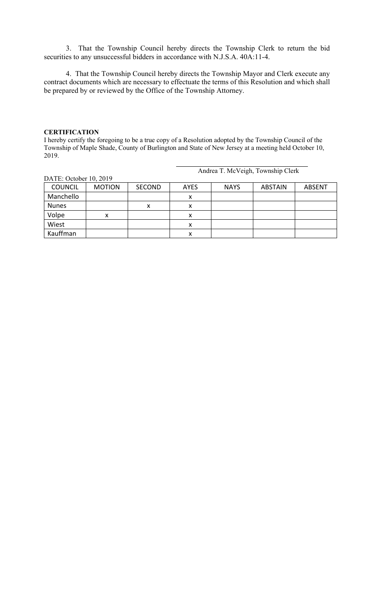3. That the Township Council hereby directs the Township Clerk to return the bid securities to any unsuccessful bidders in accordance with N.J.S.A. 40A:11-4.

4. That the Township Council hereby directs the Township Mayor and Clerk execute any contract documents which are necessary to effectuate the terms of this Resolution and which shall be prepared by or reviewed by the Office of the Township Attorney.

#### **CERTIFICATION**

I hereby certify the foregoing to be a true copy of a Resolution adopted by the Township Council of the Township of Maple Shade, County of Burlington and State of New Jersey at a meeting held October 10, 2019.

|                        |               |        |             | $\ldots$    |                |               |
|------------------------|---------------|--------|-------------|-------------|----------------|---------------|
| DATE: October 10, 2019 |               |        |             |             |                |               |
| <b>COUNCIL</b>         | <b>MOTION</b> | SECOND | <b>AYES</b> | <b>NAYS</b> | <b>ABSTAIN</b> | <b>ABSENT</b> |
| Manchello              |               |        | v           |             |                |               |
| <b>Nunes</b>           |               | х      |             |             |                |               |
| Volpe                  | х             |        | x           |             |                |               |
| Wiest                  |               |        |             |             |                |               |
| Kauffman               |               |        |             |             |                |               |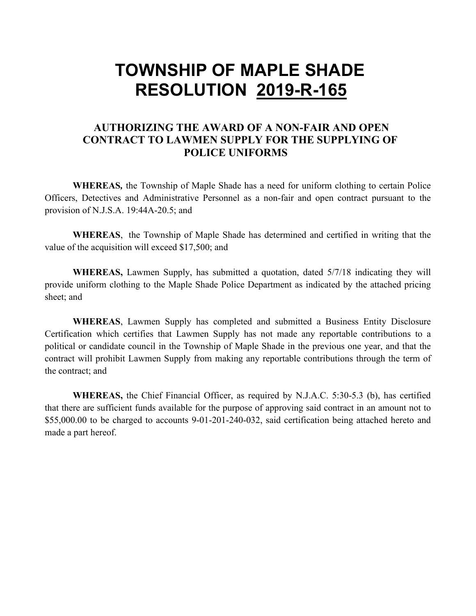### **AUTHORIZING THE AWARD OF A NON-FAIR AND OPEN CONTRACT TO LAWMEN SUPPLY FOR THE SUPPLYING OF POLICE UNIFORMS**

**WHEREAS***,* the Township of Maple Shade has a need for uniform clothing to certain Police Officers, Detectives and Administrative Personnel as a non-fair and open contract pursuant to the provision of N.J.S.A. 19:44A-20.5; and

**WHEREAS**, the Township of Maple Shade has determined and certified in writing that the value of the acquisition will exceed \$17,500; and

**WHEREAS,** Lawmen Supply, has submitted a quotation, dated 5/7/18 indicating they will provide uniform clothing to the Maple Shade Police Department as indicated by the attached pricing sheet; and

**WHEREAS**, Lawmen Supply has completed and submitted a Business Entity Disclosure Certification which certifies that Lawmen Supply has not made any reportable contributions to a political or candidate council in the Township of Maple Shade in the previous one year, and that the contract will prohibit Lawmen Supply from making any reportable contributions through the term of the contract; and

**WHEREAS,** the Chief Financial Officer, as required by N.J.A.C. 5:30-5.3 (b), has certified that there are sufficient funds available for the purpose of approving said contract in an amount not to \$55,000.00 to be charged to accounts 9-01-201-240-032, said certification being attached hereto and made a part hereof.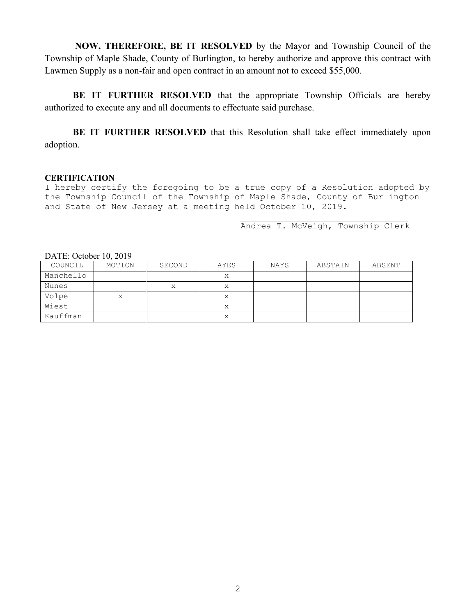**NOW, THEREFORE, BE IT RESOLVED** by the Mayor and Township Council of the Township of Maple Shade, County of Burlington, to hereby authorize and approve this contract with Lawmen Supply as a non-fair and open contract in an amount not to exceed \$55,000.

**BE IT FURTHER RESOLVED** that the appropriate Township Officials are hereby authorized to execute any and all documents to effectuate said purchase.

**BE IT FURTHER RESOLVED** that this Resolution shall take effect immediately upon adoption.

#### **CERTIFICATION**

I hereby certify the foregoing to be a true copy of a Resolution adopted by the Township Council of the Township of Maple Shade, County of Burlington and State of New Jersey at a meeting held October 10, 2019.

Andrea T. McVeigh, Township Clerk

| $P1$ , $P2$ , $P3$ , $P4$ , $P5$ , $P6$ , $P7$ , $P8$ , $P9$ , $P9$ , $P1$ , $P1$ , $P1$ , $P1$ , $P1$ , $P1$ , $P1$ , $P1$ , $P$ |        |        |      |      |         |        |
|-----------------------------------------------------------------------------------------------------------------------------------|--------|--------|------|------|---------|--------|
| COUNCIL                                                                                                                           | MOTION | SECOND | AYES | NAYS | ABSTAIN | ABSENT |
| Manchello                                                                                                                         |        |        | x    |      |         |        |
| Nunes                                                                                                                             |        | Χ      | X    |      |         |        |
| Volpe                                                                                                                             | Х      |        | ⋏    |      |         |        |
| Wiest                                                                                                                             |        |        | X    |      |         |        |
| Kauffman                                                                                                                          |        |        | X    |      |         |        |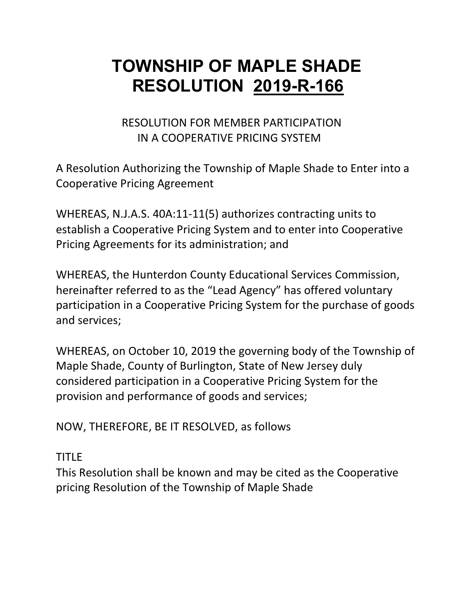## RESOLUTION FOR MEMBER PARTICIPATION IN A COOPERATIVE PRICING SYSTEM

A Resolution Authorizing the Township of Maple Shade to Enter into a Cooperative Pricing Agreement

WHEREAS, N.J.A.S. 40A:11-11(5) authorizes contracting units to establish a Cooperative Pricing System and to enter into Cooperative Pricing Agreements for its administration; and

WHEREAS, the Hunterdon County Educational Services Commission, hereinafter referred to as the "Lead Agency" has offered voluntary participation in a Cooperative Pricing System for the purchase of goods and services;

WHEREAS, on October 10, 2019 the governing body of the Township of Maple Shade, County of Burlington, State of New Jersey duly considered participation in a Cooperative Pricing System for the provision and performance of goods and services;

NOW, THEREFORE, BE IT RESOLVED, as follows

TITLE

This Resolution shall be known and may be cited as the Cooperative pricing Resolution of the Township of Maple Shade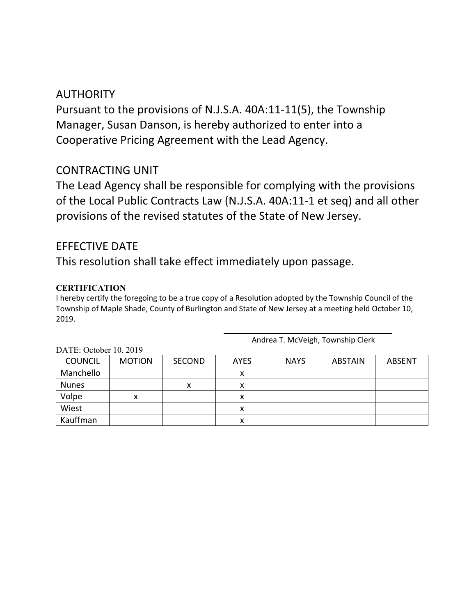### AUTHORITY

Pursuant to the provisions of N.J.S.A. 40A:11-11(5), the Township Manager, Susan Danson, is hereby authorized to enter into a Cooperative Pricing Agreement with the Lead Agency.

### CONTRACTING UNIT

The Lead Agency shall be responsible for complying with the provisions of the Local Public Contracts Law (N.J.S.A. 40A:11-1 et seq) and all other provisions of the revised statutes of the State of New Jersey.

### EFFECTIVE DATE

This resolution shall take effect immediately upon passage.

#### **CERTIFICATION**

I hereby certify the foregoing to be a true copy of a Resolution adopted by the Township Council of the Township of Maple Shade, County of Burlington and State of New Jersey at a meeting held October 10, 2019.

| DATE: October 10, 2019 |               |               |             |             |                |               |
|------------------------|---------------|---------------|-------------|-------------|----------------|---------------|
| <b>COUNCIL</b>         | <b>MOTION</b> | <b>SECOND</b> | <b>AYES</b> | <b>NAYS</b> | <b>ABSTAIN</b> | <b>ABSENT</b> |
| Manchello              |               |               | х           |             |                |               |
| <b>Nunes</b>           |               | x             | x           |             |                |               |
| Volpe                  | х             |               | х           |             |                |               |
| Wiest                  |               |               | x           |             |                |               |
| Kauffman               |               |               | х           |             |                |               |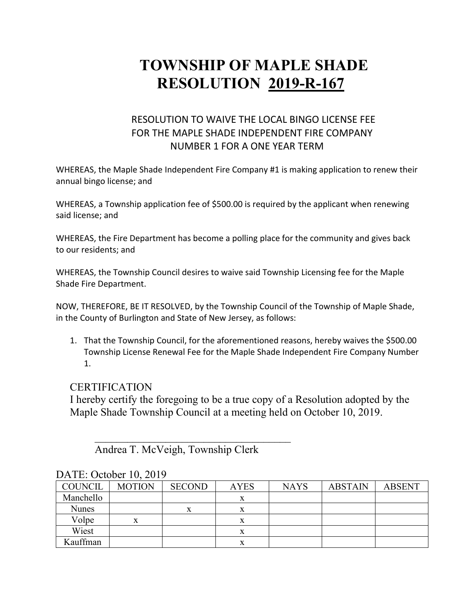### RESOLUTION TO WAIVE THE LOCAL BINGO LICENSE FEE FOR THE MAPLE SHADE INDEPENDENT FIRE COMPANY NUMBER 1 FOR A ONE YEAR TERM

WHEREAS, the Maple Shade Independent Fire Company #1 is making application to renew their annual bingo license; and

WHEREAS, a Township application fee of \$500.00 is required by the applicant when renewing said license; and

WHEREAS, the Fire Department has become a polling place for the community and gives back to our residents; and

WHEREAS, the Township Council desires to waive said Township Licensing fee for the Maple Shade Fire Department.

NOW, THEREFORE, BE IT RESOLVED, by the Township Council of the Township of Maple Shade, in the County of Burlington and State of New Jersey, as follows:

1. That the Township Council, for the aforementioned reasons, hereby waives the \$500.00 Township License Renewal Fee for the Maple Shade Independent Fire Company Number 1.

#### **CERTIFICATION**

I hereby certify the foregoing to be a true copy of a Resolution adopted by the Maple Shade Township Council at a meeting held on October 10, 2019.

Andrea T. McVeigh, Township Clerk

 $\overline{\phantom{a}}$  ,  $\overline{\phantom{a}}$  ,  $\overline{\phantom{a}}$  ,  $\overline{\phantom{a}}$  ,  $\overline{\phantom{a}}$  ,  $\overline{\phantom{a}}$  ,  $\overline{\phantom{a}}$  ,  $\overline{\phantom{a}}$  ,  $\overline{\phantom{a}}$  ,  $\overline{\phantom{a}}$  ,  $\overline{\phantom{a}}$  ,  $\overline{\phantom{a}}$  ,  $\overline{\phantom{a}}$  ,  $\overline{\phantom{a}}$  ,  $\overline{\phantom{a}}$  ,  $\overline{\phantom{a}}$ 

|              | $2.1111$ . $3.0001110$ , $4017$ |               |             |             |                |               |  |
|--------------|---------------------------------|---------------|-------------|-------------|----------------|---------------|--|
| COUNCIL      | <b>MOTION</b>                   | <b>SECOND</b> | <b>AYES</b> | <b>NAYS</b> | <b>ABSTAIN</b> | <b>ABSENT</b> |  |
| Manchello    |                                 |               |             |             |                |               |  |
| <b>Nunes</b> |                                 | x             |             |             |                |               |  |
| Volpe        |                                 |               |             |             |                |               |  |
| Wiest        |                                 |               |             |             |                |               |  |
| Kauffman     |                                 |               | л           |             |                |               |  |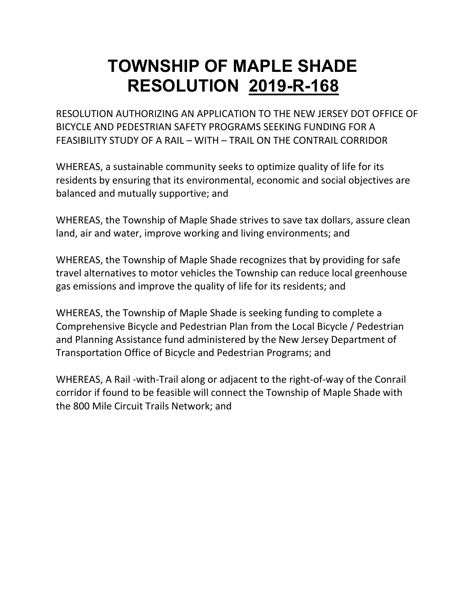RESOLUTION AUTHORIZING AN APPLICATION TO THE NEW JERSEY DOT OFFICE OF BICYCLE AND PEDESTRIAN SAFETY PROGRAMS SEEKING FUNDING FOR A FEASIBILITY STUDY OF A RAIL – WITH – TRAIL ON THE CONTRAIL CORRIDOR

WHEREAS, a sustainable community seeks to optimize quality of life for its residents by ensuring that its environmental, economic and social objectives are balanced and mutually supportive; and

WHEREAS, the Township of Maple Shade strives to save tax dollars, assure clean land, air and water, improve working and living environments; and

WHEREAS, the Township of Maple Shade recognizes that by providing for safe travel alternatives to motor vehicles the Township can reduce local greenhouse gas emissions and improve the quality of life for its residents; and

WHEREAS, the Township of Maple Shade is seeking funding to complete a Comprehensive Bicycle and Pedestrian Plan from the Local Bicycle / Pedestrian and Planning Assistance fund administered by the New Jersey Department of Transportation Office of Bicycle and Pedestrian Programs; and

WHEREAS, A Rail -with-Trail along or adjacent to the right-of-way of the Conrail corridor if found to be feasible will connect the Township of Maple Shade with the 800 Mile Circuit Trails Network; and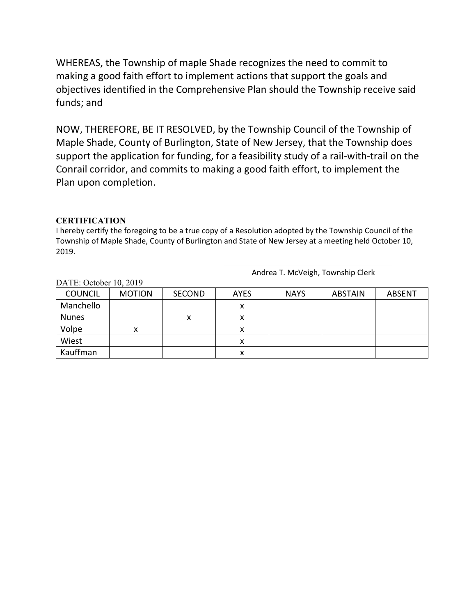WHEREAS, the Township of maple Shade recognizes the need to commit to making a good faith effort to implement actions that support the goals and objectives identified in the Comprehensive Plan should the Township receive said funds; and

NOW, THEREFORE, BE IT RESOLVED, by the Township Council of the Township of Maple Shade, County of Burlington, State of New Jersey, that the Township does support the application for funding, for a feasibility study of a rail-with-trail on the Conrail corridor, and commits to making a good faith effort, to implement the Plan upon completion.

#### **CERTIFICATION**

I hereby certify the foregoing to be a true copy of a Resolution adopted by the Township Council of the Township of Maple Shade, County of Burlington and State of New Jersey at a meeting held October 10, 2019.

| DATE: October 10, 2019 |               |               |             |             |                |               |
|------------------------|---------------|---------------|-------------|-------------|----------------|---------------|
| <b>COUNCIL</b>         | <b>MOTION</b> | <b>SECOND</b> | <b>AYES</b> | <b>NAYS</b> | <b>ABSTAIN</b> | <b>ABSENT</b> |
| Manchello              |               |               | х           |             |                |               |
| <b>Nunes</b>           |               | x             | x           |             |                |               |
| Volpe                  | x             |               | x           |             |                |               |
| Wiest                  |               |               | х           |             |                |               |
| Kauffman               |               |               |             |             |                |               |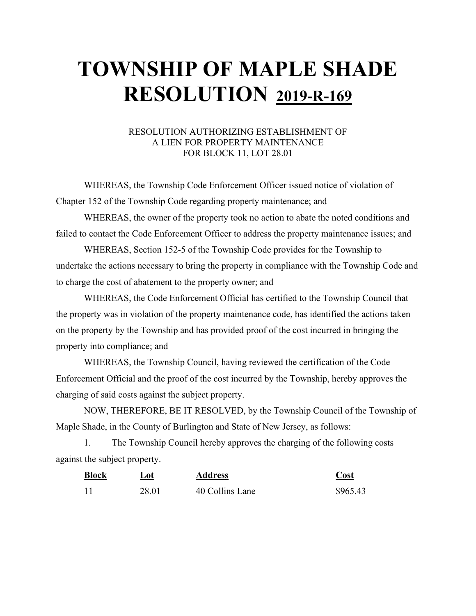#### RESOLUTION AUTHORIZING ESTABLISHMENT OF A LIEN FOR PROPERTY MAINTENANCE FOR BLOCK 11, LOT 28.01

WHEREAS, the Township Code Enforcement Officer issued notice of violation of Chapter 152 of the Township Code regarding property maintenance; and

WHEREAS, the owner of the property took no action to abate the noted conditions and failed to contact the Code Enforcement Officer to address the property maintenance issues; and

WHEREAS, Section 152-5 of the Township Code provides for the Township to undertake the actions necessary to bring the property in compliance with the Township Code and to charge the cost of abatement to the property owner; and

WHEREAS, the Code Enforcement Official has certified to the Township Council that the property was in violation of the property maintenance code, has identified the actions taken on the property by the Township and has provided proof of the cost incurred in bringing the property into compliance; and

WHEREAS, the Township Council, having reviewed the certification of the Code Enforcement Official and the proof of the cost incurred by the Township, hereby approves the charging of said costs against the subject property.

NOW, THEREFORE, BE IT RESOLVED, by the Township Council of the Township of Maple Shade, in the County of Burlington and State of New Jersey, as follows:

1. The Township Council hereby approves the charging of the following costs against the subject property.

| <b>Block</b> | Lot   | <b>Address</b>  | Cost<br>$\overline{\phantom{a}}$ |
|--------------|-------|-----------------|----------------------------------|
|              | 28.01 | 40 Collins Lane | \$965.43                         |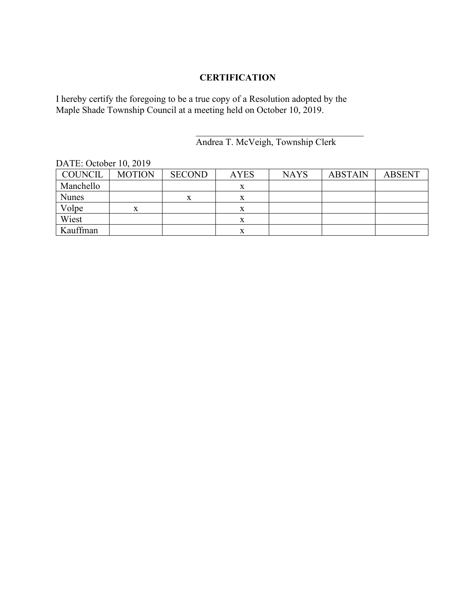#### **CERTIFICATION**

I hereby certify the foregoing to be a true copy of a Resolution adopted by the Maple Shade Township Council at a meeting held on October 10, 2019.

Andrea T. McVeigh, Township Clerk

 $\mathcal{L}_\mathcal{L}$ 

| <b>COUNCIL</b> | <b>MOTION</b> | <b>SECOND</b> | <b>AYES</b> | <b>NAYS</b> | <b>ABSTAIN</b> | <b>ABSENT</b> |
|----------------|---------------|---------------|-------------|-------------|----------------|---------------|
| Manchello      |               |               | x           |             |                |               |
| <b>Nunes</b>   |               | X             | x           |             |                |               |
| Volpe          |               |               |             |             |                |               |
| Wiest          |               |               | x           |             |                |               |
| Kauffman       |               |               |             |             |                |               |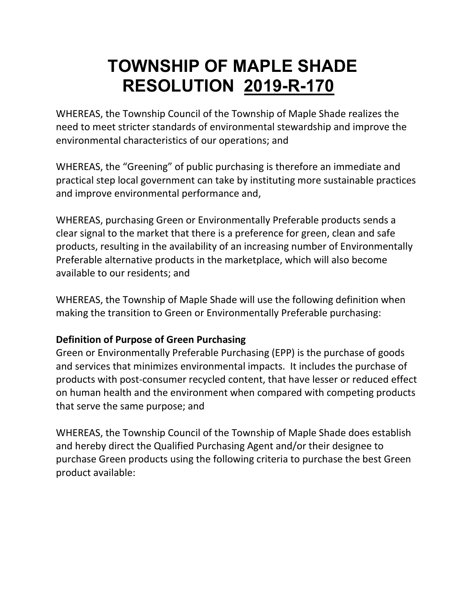WHEREAS, the Township Council of the Township of Maple Shade realizes the need to meet stricter standards of environmental stewardship and improve the environmental characteristics of our operations; and

WHEREAS, the "Greening" of public purchasing is therefore an immediate and practical step local government can take by instituting more sustainable practices and improve environmental performance and,

WHEREAS, purchasing Green or Environmentally Preferable products sends a clear signal to the market that there is a preference for green, clean and safe products, resulting in the availability of an increasing number of Environmentally Preferable alternative products in the marketplace, which will also become available to our residents; and

WHEREAS, the Township of Maple Shade will use the following definition when making the transition to Green or Environmentally Preferable purchasing:

### **Definition of Purpose of Green Purchasing**

Green or Environmentally Preferable Purchasing (EPP) is the purchase of goods and services that minimizes environmental impacts. It includes the purchase of products with post-consumer recycled content, that have lesser or reduced effect on human health and the environment when compared with competing products that serve the same purpose; and

WHEREAS, the Township Council of the Township of Maple Shade does establish and hereby direct the Qualified Purchasing Agent and/or their designee to purchase Green products using the following criteria to purchase the best Green product available: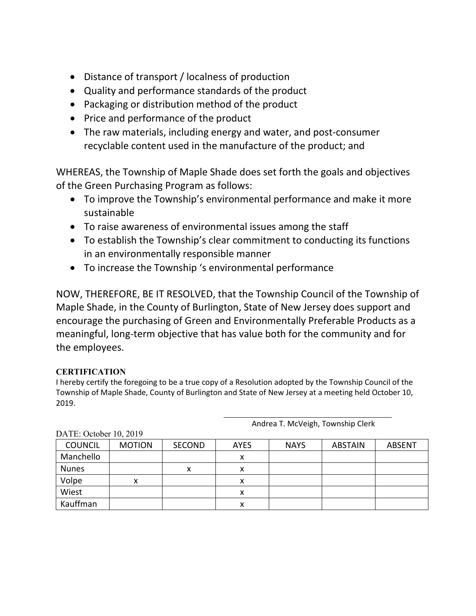- Distance of transport / localness of production
- Quality and performance standards of the product
- Packaging or distribution method of the product
- Price and performance of the product
- The raw materials, including energy and water, and post-consumer recyclable content used in the manufacture of the product; and

WHEREAS, the Township of Maple Shade does set forth the goals and objectives of the Green Purchasing Program as follows:

- To improve the Township's environmental performance and make it more sustainable
- To raise awareness of environmental issues among the staff
- To establish the Township's clear commitment to conducting its functions in an environmentally responsible manner
- To increase the Township 's environmental performance

NOW, THEREFORE, BE IT RESOLVED, that the Township Council of the Township of Maple Shade, in the County of Burlington, State of New Jersey does support and encourage the purchasing of Green and Environmentally Preferable Products as a meaningful, long-term objective that has value both for the community and for the employees.

#### **CERTIFICATION**

I hereby certify the foregoing to be a true copy of a Resolution adopted by the Township Council of the Township of Maple Shade, County of Burlington and State of New Jersey at a meeting held October 10, 2019.

| DATE: October 10, 2019 |               |               |      |             |                |               |
|------------------------|---------------|---------------|------|-------------|----------------|---------------|
| <b>COUNCIL</b>         | <b>MOTION</b> | <b>SECOND</b> | AYES | <b>NAYS</b> | <b>ABSTAIN</b> | <b>ABSENT</b> |
| Manchello              |               |               | х    |             |                |               |
| <b>Nunes</b>           |               | x             | х    |             |                |               |
| Volpe                  | x             |               | х    |             |                |               |
| Wiest                  |               |               | х    |             |                |               |
| Kauffman               |               |               | x    |             |                |               |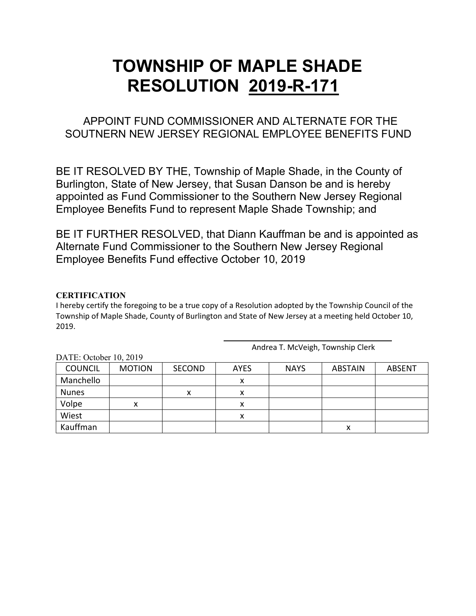### APPOINT FUND COMMISSIONER AND ALTERNATE FOR THE SOUTNERN NEW JERSEY REGIONAL EMPLOYEE BENEFITS FUND

BE IT RESOLVED BY THE, Township of Maple Shade, in the County of Burlington, State of New Jersey, that Susan Danson be and is hereby appointed as Fund Commissioner to the Southern New Jersey Regional Employee Benefits Fund to represent Maple Shade Township; and

BE IT FURTHER RESOLVED, that Diann Kauffman be and is appointed as Alternate Fund Commissioner to the Southern New Jersey Regional Employee Benefits Fund effective October 10, 2019

#### **CERTIFICATION**

 $\blacksquare$ 

I hereby certify the foregoing to be a true copy of a Resolution adopted by the Township Council of the Township of Maple Shade, County of Burlington and State of New Jersey at a meeting held October 10, 2019.

| DATE: October $10, 2019$ |               |               |             |             |                |               |
|--------------------------|---------------|---------------|-------------|-------------|----------------|---------------|
| <b>COUNCIL</b>           | <b>MOTION</b> | <b>SECOND</b> | <b>AYES</b> | <b>NAYS</b> | <b>ABSTAIN</b> | <b>ABSENT</b> |
| Manchello                |               |               | х           |             |                |               |
| <b>Nunes</b>             |               | х             |             |             |                |               |
| Volpe                    | х             |               |             |             |                |               |
| Wiest                    |               |               | x           |             |                |               |
| Kauffman                 |               |               |             |             |                |               |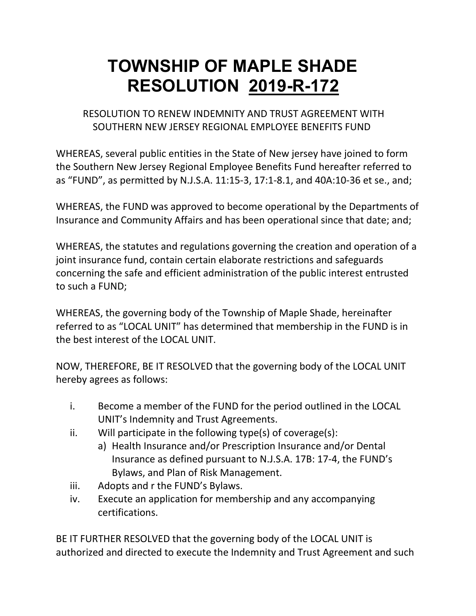### RESOLUTION TO RENEW INDEMNITY AND TRUST AGREEMENT WITH SOUTHERN NEW JERSEY REGIONAL EMPLOYEE BENEFITS FUND

WHEREAS, several public entities in the State of New jersey have joined to form the Southern New Jersey Regional Employee Benefits Fund hereafter referred to as "FUND", as permitted by N.J.S.A. 11:15-3, 17:1-8.1, and 40A:10-36 et se., and;

WHEREAS, the FUND was approved to become operational by the Departments of Insurance and Community Affairs and has been operational since that date; and;

WHEREAS, the statutes and regulations governing the creation and operation of a joint insurance fund, contain certain elaborate restrictions and safeguards concerning the safe and efficient administration of the public interest entrusted to such a FUND;

WHEREAS, the governing body of the Township of Maple Shade, hereinafter referred to as "LOCAL UNIT" has determined that membership in the FUND is in the best interest of the LOCAL UNIT.

NOW, THEREFORE, BE IT RESOLVED that the governing body of the LOCAL UNIT hereby agrees as follows:

- i. Become a member of the FUND for the period outlined in the LOCAL UNIT's Indemnity and Trust Agreements.
- ii. Will participate in the following type(s) of coverage(s):
	- a) Health Insurance and/or Prescription Insurance and/or Dental Insurance as defined pursuant to N.J.S.A. 17B: 17-4, the FUND's Bylaws, and Plan of Risk Management.
- iii. Adopts and r the FUND's Bylaws.
- iv. Execute an application for membership and any accompanying certifications.

BE IT FURTHER RESOLVED that the governing body of the LOCAL UNIT is authorized and directed to execute the Indemnity and Trust Agreement and such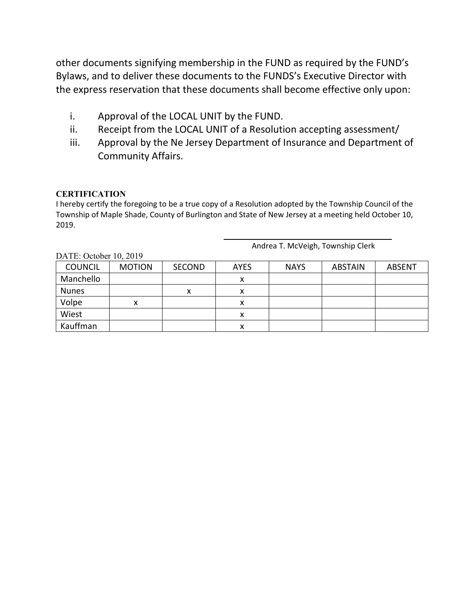other documents signifying membership in the FUND as required by the FUND's Bylaws, and to deliver these documents to the FUNDS's Executive Director with the express reservation that these documents shall become effective only upon:

- i. Approval of the LOCAL UNIT by the FUND.
- ii. Receipt from the LOCAL UNIT of a Resolution accepting assessment/
- iii. Approval by the Ne Jersey Department of Insurance and Department of Community Affairs.

#### **CERTIFICATION**

I hereby certify the foregoing to be a true copy of a Resolution adopted by the Township Council of the Township of Maple Shade, County of Burlington and State of New Jersey at a meeting held October 10, 2019.

| DATE: October 10, 2019 |               |               |             |             |                |               |
|------------------------|---------------|---------------|-------------|-------------|----------------|---------------|
| <b>COUNCIL</b>         | <b>MOTION</b> | <b>SECOND</b> | <b>AYES</b> | <b>NAYS</b> | <b>ABSTAIN</b> | <b>ABSENT</b> |
| Manchello              |               |               |             |             |                |               |
| <b>Nunes</b>           |               | x             |             |             |                |               |
| Volpe                  | Λ             |               |             |             |                |               |
| Wiest                  |               |               | ́           |             |                |               |
| Kauffman               |               |               |             |             |                |               |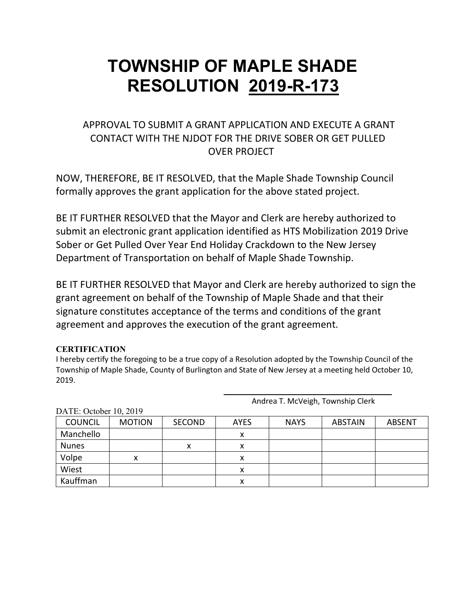### APPROVAL TO SUBMIT A GRANT APPLICATION AND EXECUTE A GRANT CONTACT WITH THE NJDOT FOR THE DRIVE SOBER OR GET PULLED OVER PROJECT

NOW, THEREFORE, BE IT RESOLVED, that the Maple Shade Township Council formally approves the grant application for the above stated project.

BE IT FURTHER RESOLVED that the Mayor and Clerk are hereby authorized to submit an electronic grant application identified as HTS Mobilization 2019 Drive Sober or Get Pulled Over Year End Holiday Crackdown to the New Jersey Department of Transportation on behalf of Maple Shade Township.

BE IT FURTHER RESOLVED that Mayor and Clerk are hereby authorized to sign the grant agreement on behalf of the Township of Maple Shade and that their signature constitutes acceptance of the terms and conditions of the grant agreement and approves the execution of the grant agreement.

#### **CERTIFICATION**

I hereby certify the foregoing to be a true copy of a Resolution adopted by the Township Council of the Township of Maple Shade, County of Burlington and State of New Jersey at a meeting held October 10, 2019.

| $DATE$ , OCtober 10, $2017$<br><b>COUNCIL</b><br><b>MOTION</b><br><b>SECOND</b><br><b>NAYS</b><br><b>AYES</b><br><b>ABSENT</b><br><b>ABSTAIN</b><br>Manchello<br>Λ |   |   |   |  |  |
|--------------------------------------------------------------------------------------------------------------------------------------------------------------------|---|---|---|--|--|
|                                                                                                                                                                    |   |   |   |  |  |
|                                                                                                                                                                    |   |   |   |  |  |
| <b>Nunes</b>                                                                                                                                                       |   | x | x |  |  |
| Volpe                                                                                                                                                              | x |   | x |  |  |
| Wiest                                                                                                                                                              |   |   | х |  |  |
| Kauffman                                                                                                                                                           |   |   | л |  |  |

Andrea T. McVeigh, Township Clerk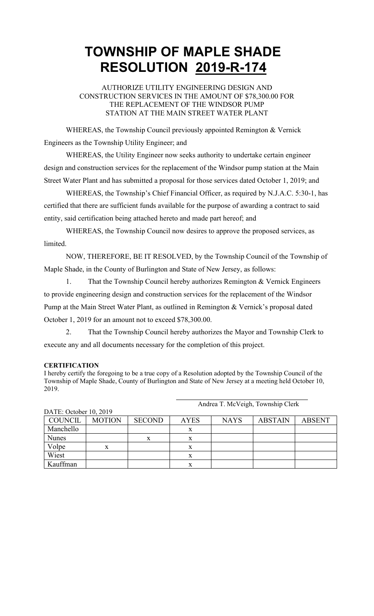#### AUTHORIZE UTILITY ENGINEERING DESIGN AND CONSTRUCTION SERVICES IN THE AMOUNT OF \$78,300.00 FOR THE REPLACEMENT OF THE WINDSOR PUMP STATION AT THE MAIN STREET WATER PLANT

WHEREAS, the Township Council previously appointed Remington & Vernick Engineers as the Township Utility Engineer; and

WHEREAS, the Utility Engineer now seeks authority to undertake certain engineer design and construction services for the replacement of the Windsor pump station at the Main Street Water Plant and has submitted a proposal for those services dated October 1, 2019; and

WHEREAS, the Township's Chief Financial Officer, as required by N.J.A.C. 5:30-1, has certified that there are sufficient funds available for the purpose of awarding a contract to said entity, said certification being attached hereto and made part hereof; and

WHEREAS, the Township Council now desires to approve the proposed services, as limited.

NOW, THEREFORE, BE IT RESOLVED, by the Township Council of the Township of Maple Shade, in the County of Burlington and State of New Jersey, as follows:

1. That the Township Council hereby authorizes Remington & Vernick Engineers to provide engineering design and construction services for the replacement of the Windsor Pump at the Main Street Water Plant, as outlined in Remington & Vernick's proposal dated October 1, 2019 for an amount not to exceed \$78,300.00.

2. That the Township Council hereby authorizes the Mayor and Township Clerk to execute any and all documents necessary for the completion of this project.

#### **CERTIFICATION**

I hereby certify the foregoing to be a true copy of a Resolution adopted by the Township Council of the Township of Maple Shade, County of Burlington and State of New Jersey at a meeting held October 10, 2019.

| DATE: OCLODET $10, 2019$<br><b>COUNCIL</b><br><b>MOTION</b><br><b>SECOND</b><br><b>AYES</b><br><b>ABSTAIN</b><br><b>ABSENT</b><br><b>NAYS</b><br>Manchello<br><b>Nunes</b><br>X<br>X |   |  |   |  |  |
|--------------------------------------------------------------------------------------------------------------------------------------------------------------------------------------|---|--|---|--|--|
|                                                                                                                                                                                      |   |  |   |  |  |
|                                                                                                                                                                                      |   |  |   |  |  |
|                                                                                                                                                                                      |   |  |   |  |  |
| Volpe                                                                                                                                                                                | x |  | x |  |  |
| Wiest                                                                                                                                                                                |   |  | x |  |  |
| Kauffman                                                                                                                                                                             |   |  | X |  |  |

DATE: October 10, 2019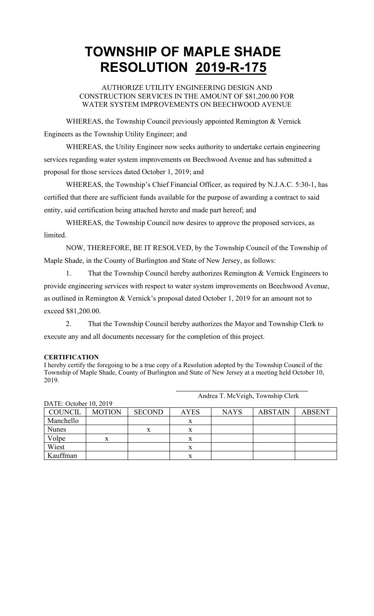AUTHORIZE UTILITY ENGINEERING DESIGN AND CONSTRUCTION SERVICES IN THE AMOUNT OF \$81,200.00 FOR WATER SYSTEM IMPROVEMENTS ON BEECHWOOD AVENUE

WHEREAS, the Township Council previously appointed Remington & Vernick Engineers as the Township Utility Engineer; and

WHEREAS, the Utility Engineer now seeks authority to undertake certain engineering services regarding water system improvements on Beechwood Avenue and has submitted a proposal for those services dated October 1, 2019; and

WHEREAS, the Township's Chief Financial Officer, as required by N.J.A.C. 5:30-1, has certified that there are sufficient funds available for the purpose of awarding a contract to said entity, said certification being attached hereto and made part hereof; and

WHEREAS, the Township Council now desires to approve the proposed services, as limited.

NOW, THEREFORE, BE IT RESOLVED, by the Township Council of the Township of Maple Shade, in the County of Burlington and State of New Jersey, as follows:

1. That the Township Council hereby authorizes Remington & Vernick Engineers to provide engineering services with respect to water system improvements on Beechwood Avenue, as outlined in Remington & Vernick's proposal dated October 1, 2019 for an amount not to exceed \$81,200.00.

2. That the Township Council hereby authorizes the Mayor and Township Clerk to execute any and all documents necessary for the completion of this project.

#### **CERTIFICATION**

I hereby certify the foregoing to be a true copy of a Resolution adopted by the Township Council of the Township of Maple Shade, County of Burlington and State of New Jersey at a meeting held October 10, 2019.

| DATE: October 10, 2019 |               |               |             |             |                |               |
|------------------------|---------------|---------------|-------------|-------------|----------------|---------------|
| COUNCIL                | <b>MOTION</b> | <b>SECOND</b> | <b>AYES</b> | <b>NAYS</b> | <b>ABSTAIN</b> | <b>ABSENT</b> |
| Manchello              |               |               |             |             |                |               |
| <b>Nunes</b>           |               | X             | X           |             |                |               |
| Volpe                  | X             |               | x           |             |                |               |
| Wiest                  |               |               | X           |             |                |               |
| Kauffman               |               |               | л           |             |                |               |